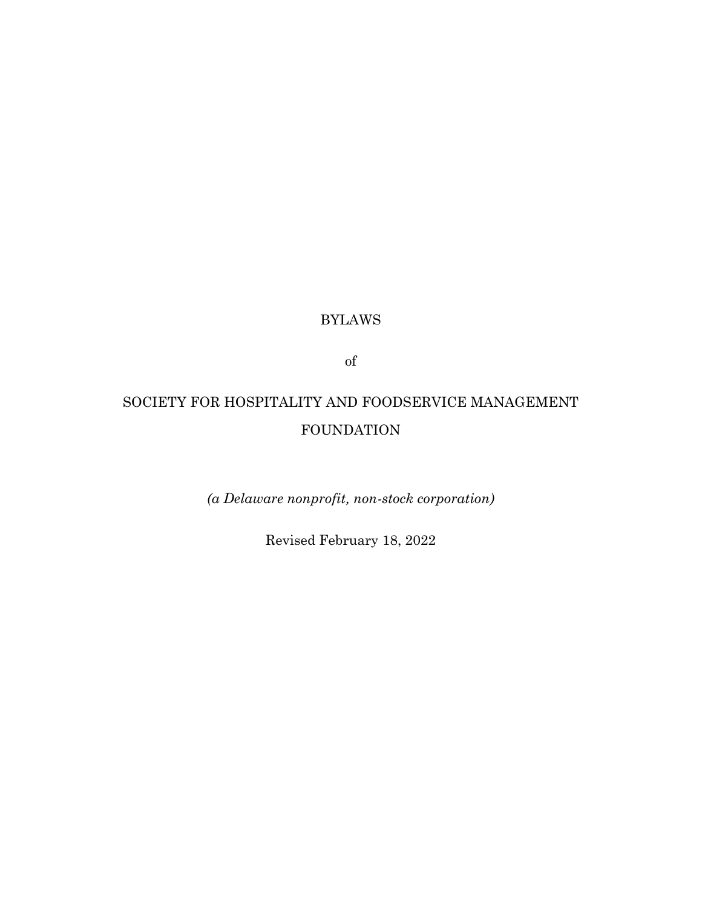## BYLAWS

of

# SOCIETY FOR HOSPITALITY AND FOODSERVICE MANAGEMENT FOUNDATION

*(a Delaware nonprofit, non-stock corporation)*

Revised February 18, 2022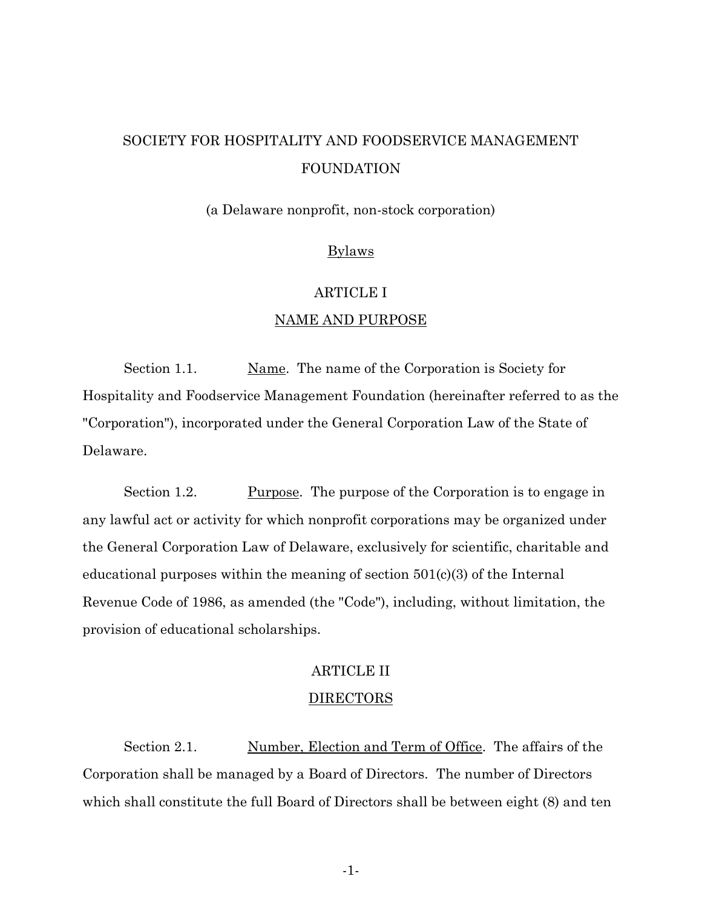## SOCIETY FOR HOSPITALITY AND FOODSERVICE MANAGEMENT FOUNDATION

(a Delaware nonprofit, non-stock corporation)

### **Bylaws**

### ARTICLE I

#### NAME AND PURPOSE

Section 1.1. Name. The name of the Corporation is Society for Hospitality and Foodservice Management Foundation (hereinafter referred to as the "Corporation"), incorporated under the General Corporation Law of the State of Delaware.

Section 1.2. Purpose. The purpose of the Corporation is to engage in any lawful act or activity for which nonprofit corporations may be organized under the General Corporation Law of Delaware, exclusively for scientific, charitable and educational purposes within the meaning of section  $501(c)(3)$  of the Internal Revenue Code of 1986, as amended (the "Code"), including, without limitation, the provision of educational scholarships.

# ARTICLE II

## DIRECTORS

Section 2.1. Number, Election and Term of Office. The affairs of the Corporation shall be managed by a Board of Directors. The number of Directors which shall constitute the full Board of Directors shall be between eight (8) and ten

-1-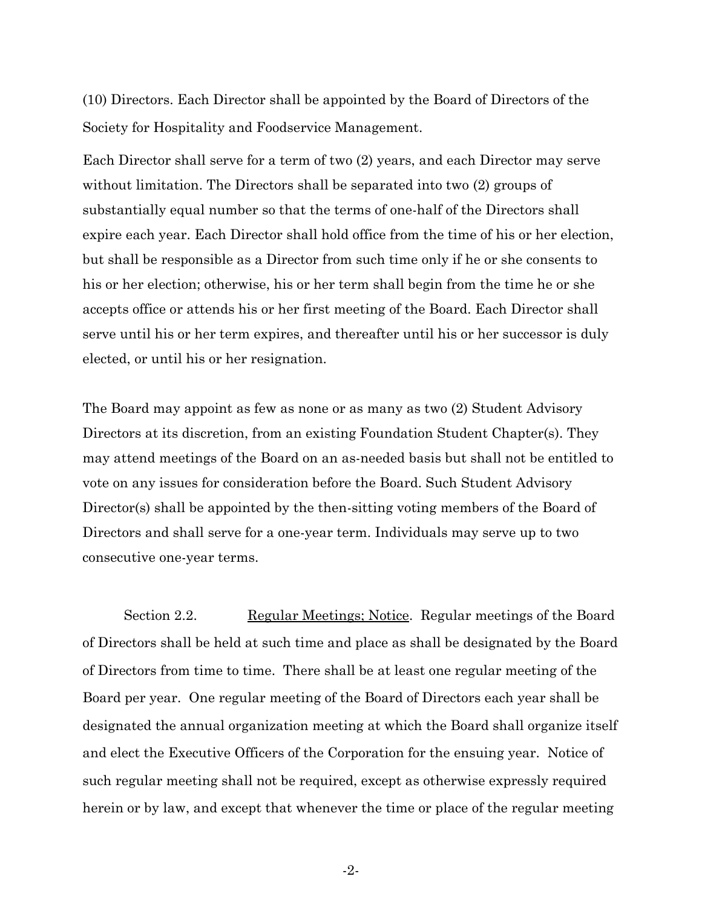(10) Directors. Each Director shall be appointed by the Board of Directors of the Society for Hospitality and Foodservice Management.

Each Director shall serve for a term of two (2) years, and each Director may serve without limitation. The Directors shall be separated into two (2) groups of substantially equal number so that the terms of one-half of the Directors shall expire each year. Each Director shall hold office from the time of his or her election, but shall be responsible as a Director from such time only if he or she consents to his or her election; otherwise, his or her term shall begin from the time he or she accepts office or attends his or her first meeting of the Board. Each Director shall serve until his or her term expires, and thereafter until his or her successor is duly elected, or until his or her resignation.

The Board may appoint as few as none or as many as two (2) Student Advisory Directors at its discretion, from an existing Foundation Student Chapter(s). They may attend meetings of the Board on an as-needed basis but shall not be entitled to vote on any issues for consideration before the Board. Such Student Advisory Director(s) shall be appointed by the then-sitting voting members of the Board of Directors and shall serve for a one-year term. Individuals may serve up to two consecutive one-year terms.

Section 2.2. Regular Meetings; Notice. Regular meetings of the Board of Directors shall be held at such time and place as shall be designated by the Board of Directors from time to time. There shall be at least one regular meeting of the Board per year. One regular meeting of the Board of Directors each year shall be designated the annual organization meeting at which the Board shall organize itself and elect the Executive Officers of the Corporation for the ensuing year. Notice of such regular meeting shall not be required, except as otherwise expressly required herein or by law, and except that whenever the time or place of the regular meeting

-2-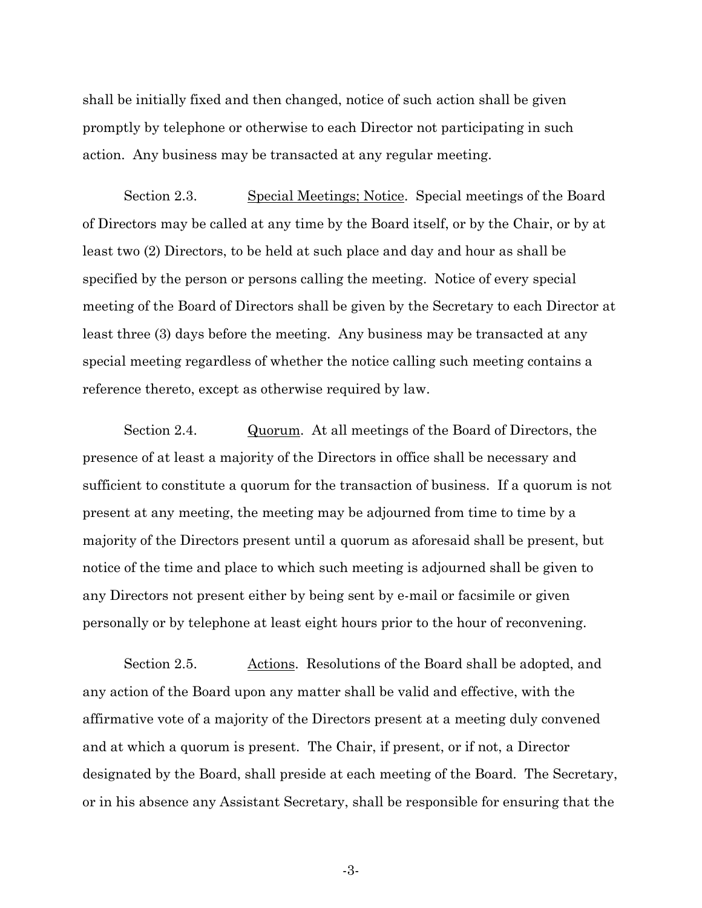shall be initially fixed and then changed, notice of such action shall be given promptly by telephone or otherwise to each Director not participating in such action. Any business may be transacted at any regular meeting.

Section 2.3. Special Meetings; Notice. Special meetings of the Board of Directors may be called at any time by the Board itself, or by the Chair, or by at least two (2) Directors, to be held at such place and day and hour as shall be specified by the person or persons calling the meeting. Notice of every special meeting of the Board of Directors shall be given by the Secretary to each Director at least three (3) days before the meeting. Any business may be transacted at any special meeting regardless of whether the notice calling such meeting contains a reference thereto, except as otherwise required by law.

Section 2.4. Quorum. At all meetings of the Board of Directors, the presence of at least a majority of the Directors in office shall be necessary and sufficient to constitute a quorum for the transaction of business. If a quorum is not present at any meeting, the meeting may be adjourned from time to time by a majority of the Directors present until a quorum as aforesaid shall be present, but notice of the time and place to which such meeting is adjourned shall be given to any Directors not present either by being sent by e-mail or facsimile or given personally or by telephone at least eight hours prior to the hour of reconvening.

Section 2.5. Actions. Resolutions of the Board shall be adopted, and any action of the Board upon any matter shall be valid and effective, with the affirmative vote of a majority of the Directors present at a meeting duly convened and at which a quorum is present. The Chair, if present, or if not, a Director designated by the Board, shall preside at each meeting of the Board. The Secretary, or in his absence any Assistant Secretary, shall be responsible for ensuring that the

-3-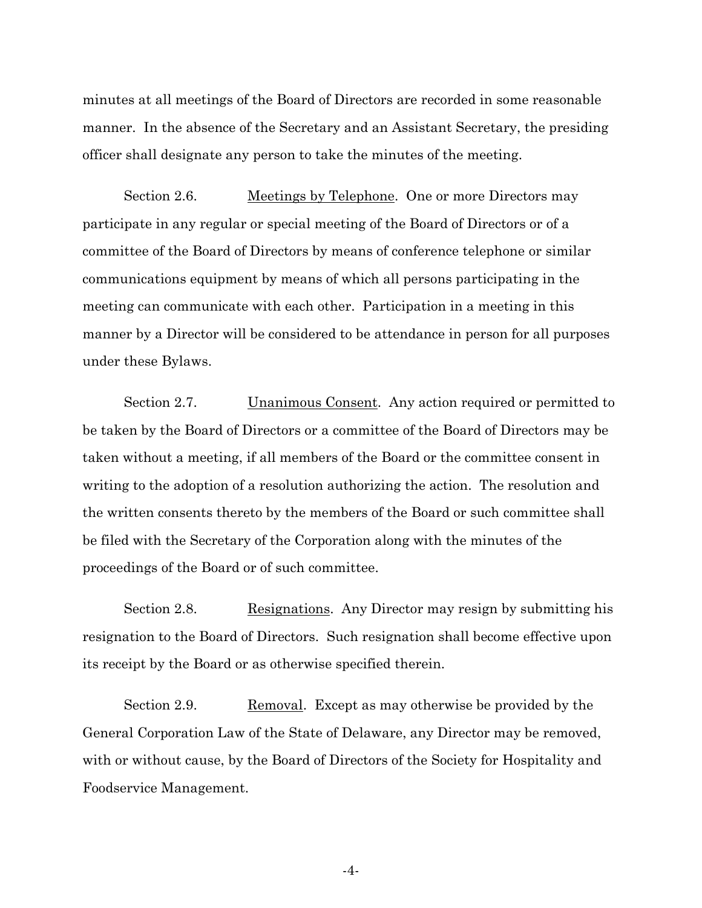minutes at all meetings of the Board of Directors are recorded in some reasonable manner. In the absence of the Secretary and an Assistant Secretary, the presiding officer shall designate any person to take the minutes of the meeting.

Section 2.6. Meetings by Telephone. One or more Directors may participate in any regular or special meeting of the Board of Directors or of a committee of the Board of Directors by means of conference telephone or similar communications equipment by means of which all persons participating in the meeting can communicate with each other. Participation in a meeting in this manner by a Director will be considered to be attendance in person for all purposes under these Bylaws.

Section 2.7. **Unanimous Consent.** Any action required or permitted to be taken by the Board of Directors or a committee of the Board of Directors may be taken without a meeting, if all members of the Board or the committee consent in writing to the adoption of a resolution authorizing the action. The resolution and the written consents thereto by the members of the Board or such committee shall be filed with the Secretary of the Corporation along with the minutes of the proceedings of the Board or of such committee.

Section 2.8. Resignations. Any Director may resign by submitting his resignation to the Board of Directors. Such resignation shall become effective upon its receipt by the Board or as otherwise specified therein.

Section 2.9. Removal. Except as may otherwise be provided by the General Corporation Law of the State of Delaware, any Director may be removed, with or without cause, by the Board of Directors of the Society for Hospitality and Foodservice Management.

-4-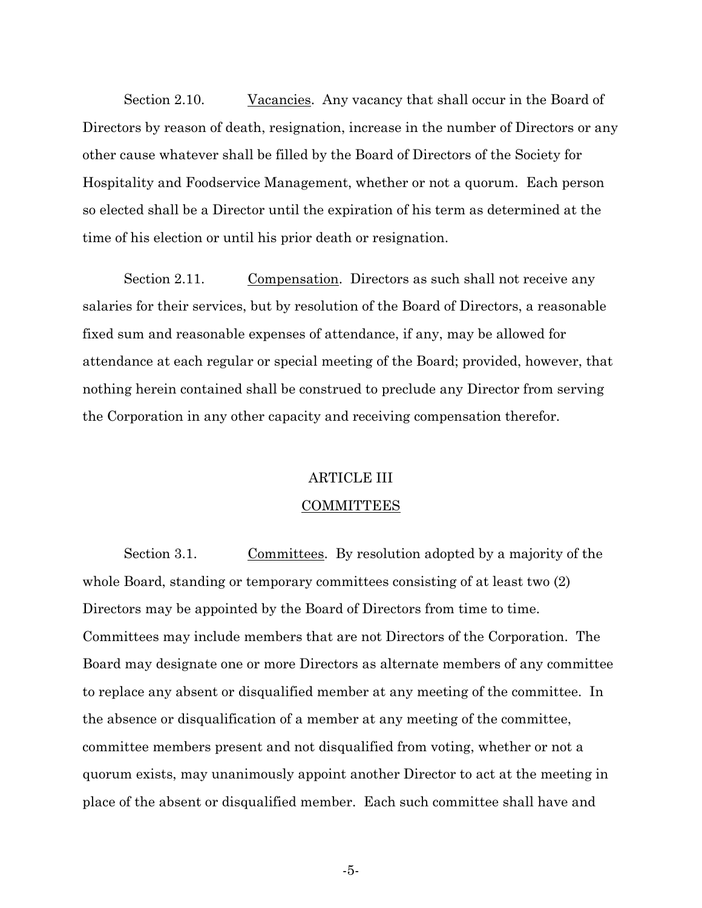Section 2.10. Vacancies. Any vacancy that shall occur in the Board of Directors by reason of death, resignation, increase in the number of Directors or any other cause whatever shall be filled by the Board of Directors of the Society for Hospitality and Foodservice Management, whether or not a quorum. Each person so elected shall be a Director until the expiration of his term as determined at the time of his election or until his prior death or resignation.

Section 2.11. Compensation. Directors as such shall not receive any salaries for their services, but by resolution of the Board of Directors, a reasonable fixed sum and reasonable expenses of attendance, if any, may be allowed for attendance at each regular or special meeting of the Board; provided, however, that nothing herein contained shall be construed to preclude any Director from serving the Corporation in any other capacity and receiving compensation therefor.

### ARTICLE III

#### COMMITTEES

Section 3.1. Committees. By resolution adopted by a majority of the whole Board, standing or temporary committees consisting of at least two (2) Directors may be appointed by the Board of Directors from time to time. Committees may include members that are not Directors of the Corporation. The Board may designate one or more Directors as alternate members of any committee to replace any absent or disqualified member at any meeting of the committee. In the absence or disqualification of a member at any meeting of the committee, committee members present and not disqualified from voting, whether or not a quorum exists, may unanimously appoint another Director to act at the meeting in place of the absent or disqualified member. Each such committee shall have and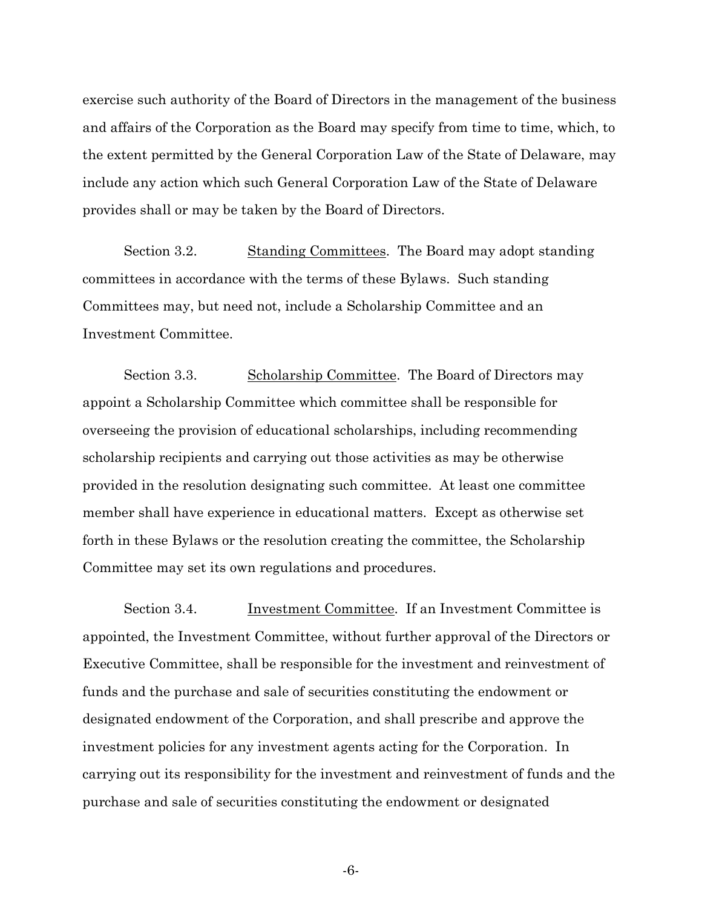exercise such authority of the Board of Directors in the management of the business and affairs of the Corporation as the Board may specify from time to time, which, to the extent permitted by the General Corporation Law of the State of Delaware, may include any action which such General Corporation Law of the State of Delaware provides shall or may be taken by the Board of Directors.

Section 3.2. Standing Committees. The Board may adopt standing committees in accordance with the terms of these Bylaws. Such standing Committees may, but need not, include a Scholarship Committee and an Investment Committee.

Section 3.3. Scholarship Committee. The Board of Directors may appoint a Scholarship Committee which committee shall be responsible for overseeing the provision of educational scholarships, including recommending scholarship recipients and carrying out those activities as may be otherwise provided in the resolution designating such committee. At least one committee member shall have experience in educational matters. Except as otherwise set forth in these Bylaws or the resolution creating the committee, the Scholarship Committee may set its own regulations and procedures.

Section 3.4. Investment Committee. If an Investment Committee is appointed, the Investment Committee, without further approval of the Directors or Executive Committee, shall be responsible for the investment and reinvestment of funds and the purchase and sale of securities constituting the endowment or designated endowment of the Corporation, and shall prescribe and approve the investment policies for any investment agents acting for the Corporation. In carrying out its responsibility for the investment and reinvestment of funds and the purchase and sale of securities constituting the endowment or designated

-6-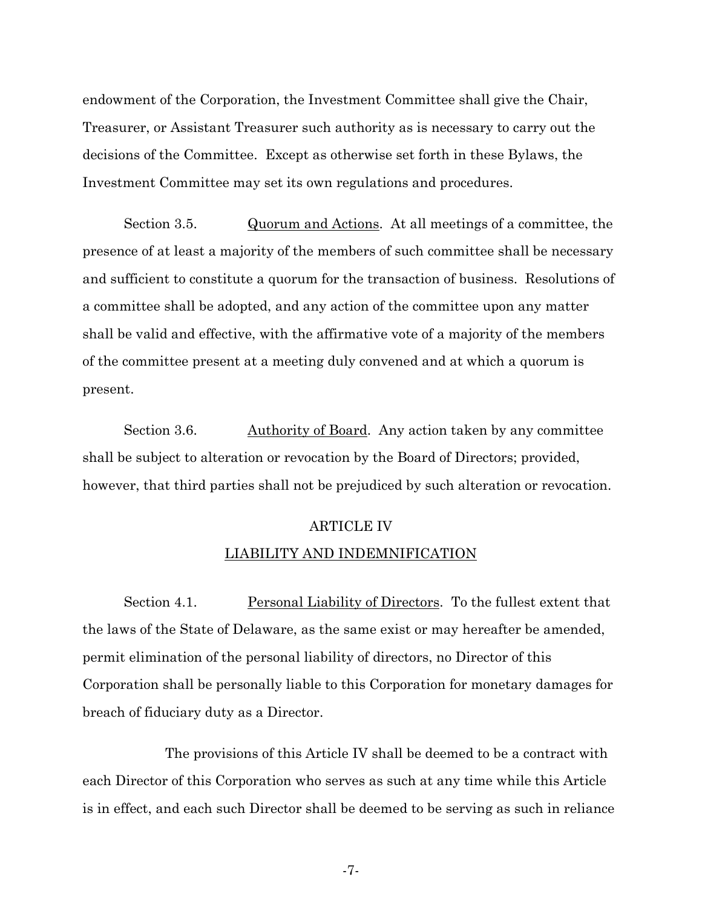endowment of the Corporation, the Investment Committee shall give the Chair, Treasurer, or Assistant Treasurer such authority as is necessary to carry out the decisions of the Committee. Except as otherwise set forth in these Bylaws, the Investment Committee may set its own regulations and procedures.

Section 3.5. Quorum and Actions. At all meetings of a committee, the presence of at least a majority of the members of such committee shall be necessary and sufficient to constitute a quorum for the transaction of business. Resolutions of a committee shall be adopted, and any action of the committee upon any matter shall be valid and effective, with the affirmative vote of a majority of the members of the committee present at a meeting duly convened and at which a quorum is present.

Section 3.6. Authority of Board. Any action taken by any committee shall be subject to alteration or revocation by the Board of Directors; provided, however, that third parties shall not be prejudiced by such alteration or revocation.

#### ARTICLE IV

### LIABILITY AND INDEMNIFICATION

Section 4.1. Personal Liability of Directors. To the fullest extent that the laws of the State of Delaware, as the same exist or may hereafter be amended, permit elimination of the personal liability of directors, no Director of this Corporation shall be personally liable to this Corporation for monetary damages for breach of fiduciary duty as a Director.

The provisions of this Article IV shall be deemed to be a contract with each Director of this Corporation who serves as such at any time while this Article is in effect, and each such Director shall be deemed to be serving as such in reliance

-7-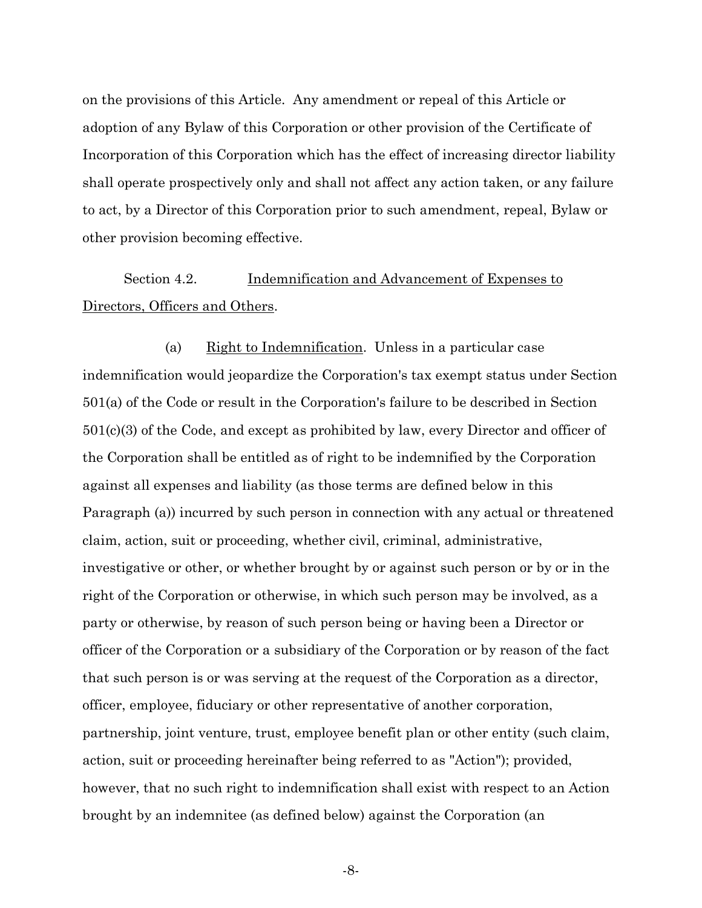on the provisions of this Article. Any amendment or repeal of this Article or adoption of any Bylaw of this Corporation or other provision of the Certificate of Incorporation of this Corporation which has the effect of increasing director liability shall operate prospectively only and shall not affect any action taken, or any failure to act, by a Director of this Corporation prior to such amendment, repeal, Bylaw or other provision becoming effective.

## Section 4.2. **Indemnification and Advancement of Expenses to** Directors, Officers and Others.

(a)  $Right to Indemnification. Unless in a particular case$ indemnification would jeopardize the Corporation's tax exempt status under Section 501(a) of the Code or result in the Corporation's failure to be described in Section 501(c)(3) of the Code, and except as prohibited by law, every Director and officer of the Corporation shall be entitled as of right to be indemnified by the Corporation against all expenses and liability (as those terms are defined below in this Paragraph (a)) incurred by such person in connection with any actual or threatened claim, action, suit or proceeding, whether civil, criminal, administrative, investigative or other, or whether brought by or against such person or by or in the right of the Corporation or otherwise, in which such person may be involved, as a party or otherwise, by reason of such person being or having been a Director or officer of the Corporation or a subsidiary of the Corporation or by reason of the fact that such person is or was serving at the request of the Corporation as a director, officer, employee, fiduciary or other representative of another corporation, partnership, joint venture, trust, employee benefit plan or other entity (such claim, action, suit or proceeding hereinafter being referred to as "Action"); provided, however, that no such right to indemnification shall exist with respect to an Action brought by an indemnitee (as defined below) against the Corporation (an

-8-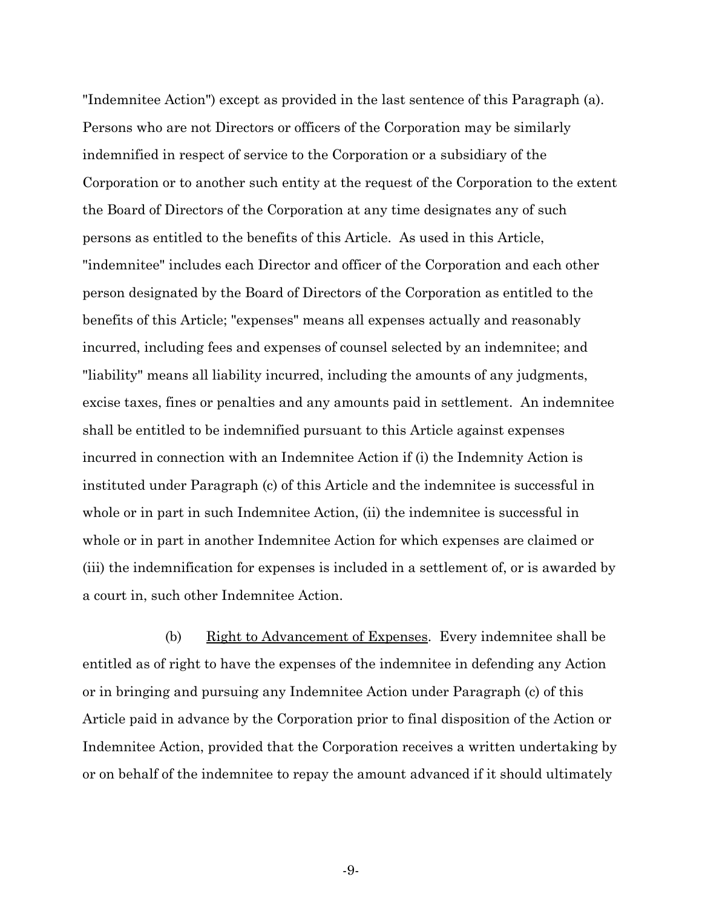"Indemnitee Action") except as provided in the last sentence of this Paragraph (a). Persons who are not Directors or officers of the Corporation may be similarly indemnified in respect of service to the Corporation or a subsidiary of the Corporation or to another such entity at the request of the Corporation to the extent the Board of Directors of the Corporation at any time designates any of such persons as entitled to the benefits of this Article. As used in this Article, "indemnitee" includes each Director and officer of the Corporation and each other person designated by the Board of Directors of the Corporation as entitled to the benefits of this Article; "expenses" means all expenses actually and reasonably incurred, including fees and expenses of counsel selected by an indemnitee; and "liability" means all liability incurred, including the amounts of any judgments, excise taxes, fines or penalties and any amounts paid in settlement. An indemnitee shall be entitled to be indemnified pursuant to this Article against expenses incurred in connection with an Indemnitee Action if (i) the Indemnity Action is instituted under Paragraph (c) of this Article and the indemnitee is successful in whole or in part in such Indemnitee Action, (ii) the indemnitee is successful in whole or in part in another Indemnitee Action for which expenses are claimed or (iii) the indemnification for expenses is included in a settlement of, or is awarded by a court in, such other Indemnitee Action.

(b) Right to Advancement of Expenses. Every indemnitee shall be entitled as of right to have the expenses of the indemnitee in defending any Action or in bringing and pursuing any Indemnitee Action under Paragraph (c) of this Article paid in advance by the Corporation prior to final disposition of the Action or Indemnitee Action, provided that the Corporation receives a written undertaking by or on behalf of the indemnitee to repay the amount advanced if it should ultimately

-9-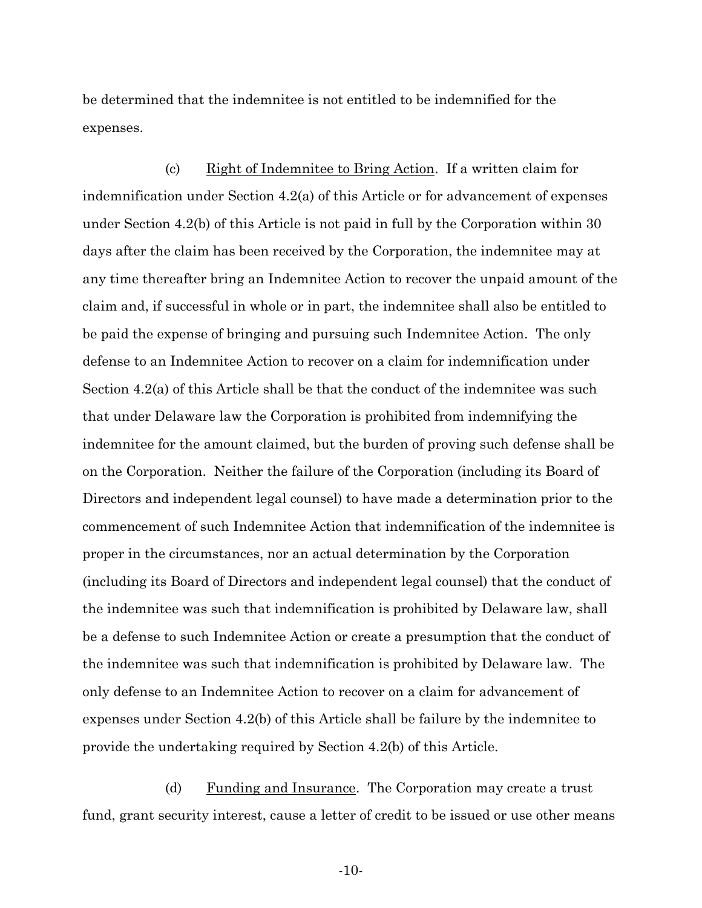be determined that the indemnitee is not entitled to be indemnified for the expenses.

(c) Eight of Indemnitee to Bring Action. If a written claim for indemnification under Section 4.2(a) of this Article or for advancement of expenses under Section 4.2(b) of this Article is not paid in full by the Corporation within 30 days after the claim has been received by the Corporation, the indemnitee may at any time thereafter bring an Indemnitee Action to recover the unpaid amount of the claim and, if successful in whole or in part, the indemnitee shall also be entitled to be paid the expense of bringing and pursuing such Indemnitee Action. The only defense to an Indemnitee Action to recover on a claim for indemnification under Section 4.2(a) of this Article shall be that the conduct of the indemnitee was such that under Delaware law the Corporation is prohibited from indemnifying the indemnitee for the amount claimed, but the burden of proving such defense shall be on the Corporation. Neither the failure of the Corporation (including its Board of Directors and independent legal counsel) to have made a determination prior to the commencement of such Indemnitee Action that indemnification of the indemnitee is proper in the circumstances, nor an actual determination by the Corporation (including its Board of Directors and independent legal counsel) that the conduct of the indemnitee was such that indemnification is prohibited by Delaware law, shall be a defense to such Indemnitee Action or create a presumption that the conduct of the indemnitee was such that indemnification is prohibited by Delaware law. The only defense to an Indemnitee Action to recover on a claim for advancement of expenses under Section 4.2(b) of this Article shall be failure by the indemnitee to provide the undertaking required by Section 4.2(b) of this Article.

(d) Funding and Insurance. The Corporation may create a trust fund, grant security interest, cause a letter of credit to be issued or use other means

-10-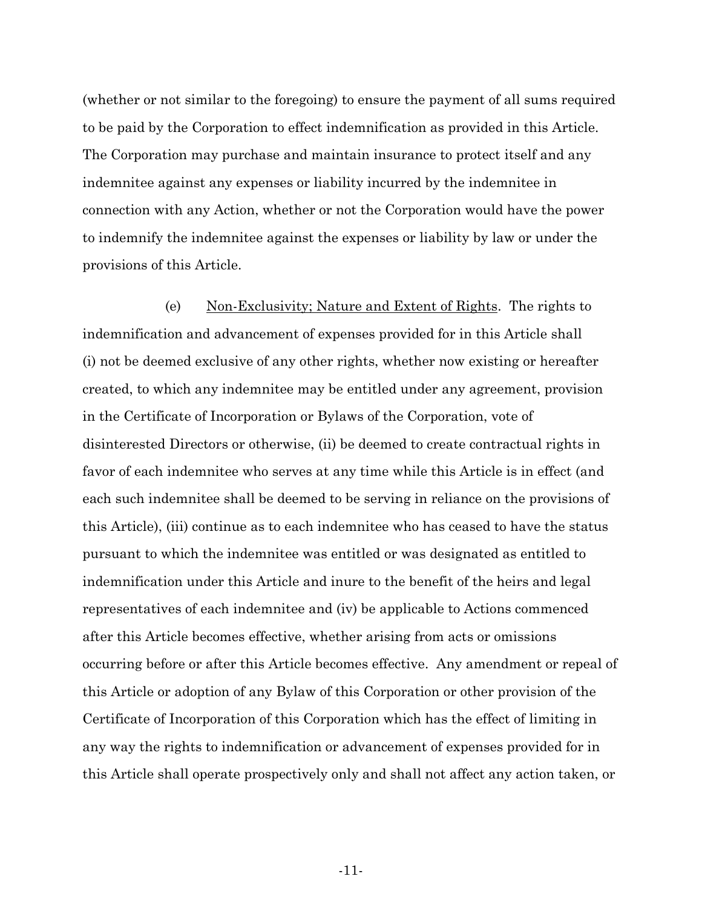(whether or not similar to the foregoing) to ensure the payment of all sums required to be paid by the Corporation to effect indemnification as provided in this Article. The Corporation may purchase and maintain insurance to protect itself and any indemnitee against any expenses or liability incurred by the indemnitee in connection with any Action, whether or not the Corporation would have the power to indemnify the indemnitee against the expenses or liability by law or under the provisions of this Article.

(e) Non-Exclusivity; Nature and Extent of Rights. The rights to indemnification and advancement of expenses provided for in this Article shall (i) not be deemed exclusive of any other rights, whether now existing or hereafter created, to which any indemnitee may be entitled under any agreement, provision in the Certificate of Incorporation or Bylaws of the Corporation, vote of disinterested Directors or otherwise, (ii) be deemed to create contractual rights in favor of each indemnitee who serves at any time while this Article is in effect (and each such indemnitee shall be deemed to be serving in reliance on the provisions of this Article), (iii) continue as to each indemnitee who has ceased to have the status pursuant to which the indemnitee was entitled or was designated as entitled to indemnification under this Article and inure to the benefit of the heirs and legal representatives of each indemnitee and (iv) be applicable to Actions commenced after this Article becomes effective, whether arising from acts or omissions occurring before or after this Article becomes effective. Any amendment or repeal of this Article or adoption of any Bylaw of this Corporation or other provision of the Certificate of Incorporation of this Corporation which has the effect of limiting in any way the rights to indemnification or advancement of expenses provided for in this Article shall operate prospectively only and shall not affect any action taken, or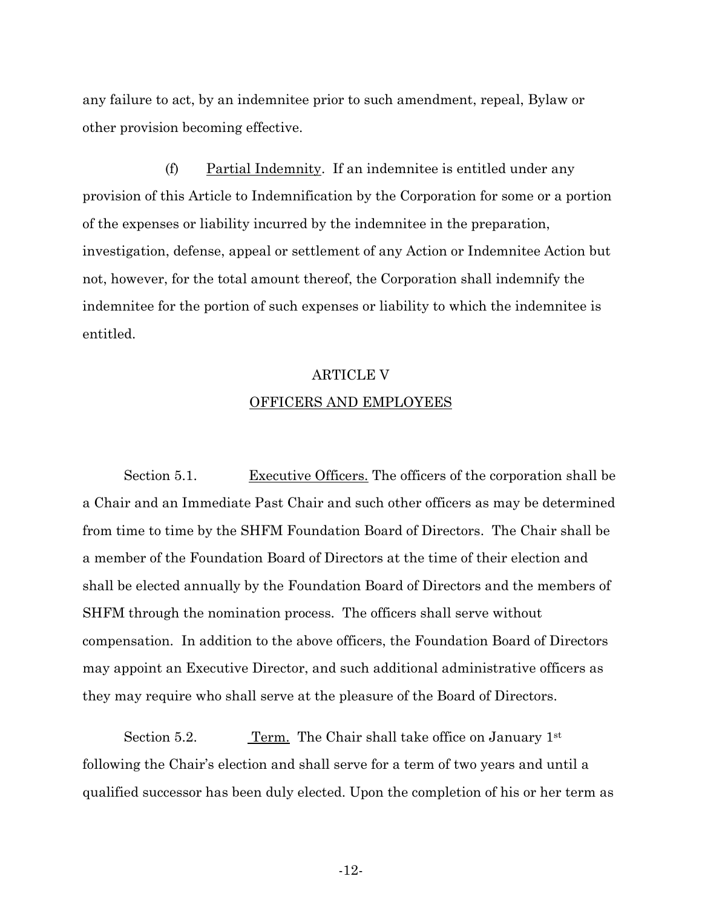any failure to act, by an indemnitee prior to such amendment, repeal, Bylaw or other provision becoming effective.

(f) Partial Indemnity. If an indemnitee is entitled under any provision of this Article to Indemnification by the Corporation for some or a portion of the expenses or liability incurred by the indemnitee in the preparation, investigation, defense, appeal or settlement of any Action or Indemnitee Action but not, however, for the total amount thereof, the Corporation shall indemnify the indemnitee for the portion of such expenses or liability to which the indemnitee is entitled.

## ARTICLE V OFFICERS AND EMPLOYEES

Section 5.1. Executive Officers. The officers of the corporation shall be a Chair and an Immediate Past Chair and such other officers as may be determined from time to time by the SHFM Foundation Board of Directors. The Chair shall be a member of the Foundation Board of Directors at the time of their election and shall be elected annually by the Foundation Board of Directors and the members of SHFM through the nomination process. The officers shall serve without compensation. In addition to the above officers, the Foundation Board of Directors may appoint an Executive Director, and such additional administrative officers as they may require who shall serve at the pleasure of the Board of Directors.

Section 5.2. Term. The Chair shall take office on January 1st following the Chair's election and shall serve for a term of two years and until a qualified successor has been duly elected. Upon the completion of his or her term as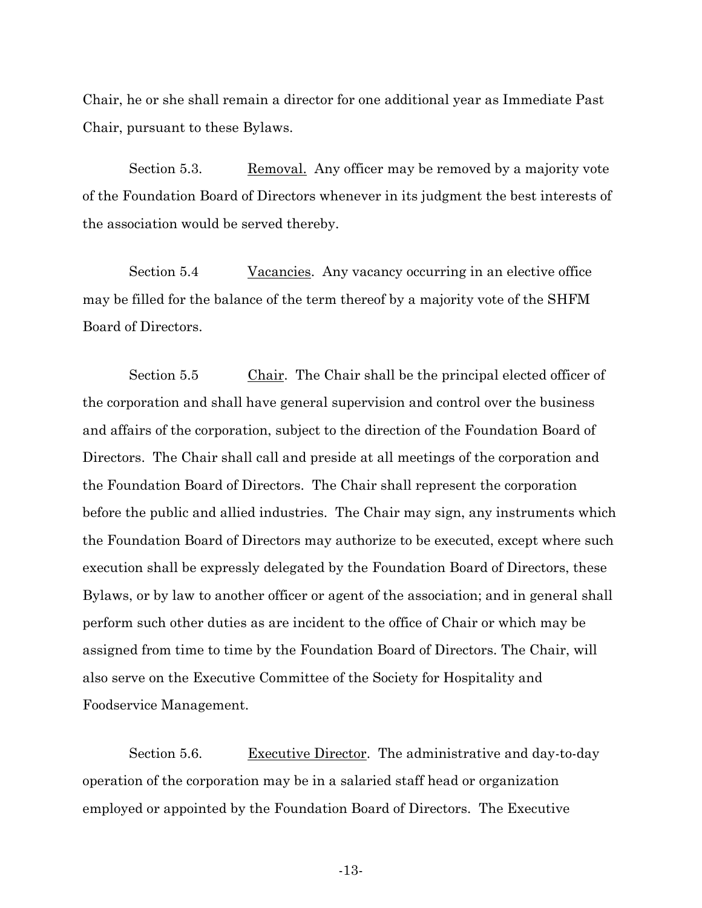Chair, he or she shall remain a director for one additional year as Immediate Past Chair, pursuant to these Bylaws.

Section 5.3. Removal. Any officer may be removed by a majority vote of the Foundation Board of Directors whenever in its judgment the best interests of the association would be served thereby.

Section 5.4 Vacancies. Any vacancy occurring in an elective office may be filled for the balance of the term thereof by a majority vote of the SHFM Board of Directors.

Section 5.5 Chair. The Chair shall be the principal elected officer of the corporation and shall have general supervision and control over the business and affairs of the corporation, subject to the direction of the Foundation Board of Directors. The Chair shall call and preside at all meetings of the corporation and the Foundation Board of Directors. The Chair shall represent the corporation before the public and allied industries. The Chair may sign, any instruments which the Foundation Board of Directors may authorize to be executed, except where such execution shall be expressly delegated by the Foundation Board of Directors, these Bylaws, or by law to another officer or agent of the association; and in general shall perform such other duties as are incident to the office of Chair or which may be assigned from time to time by the Foundation Board of Directors. The Chair, will also serve on the Executive Committee of the Society for Hospitality and Foodservice Management.

Section 5.6. Executive Director. The administrative and day-to-day operation of the corporation may be in a salaried staff head or organization employed or appointed by the Foundation Board of Directors. The Executive

-13-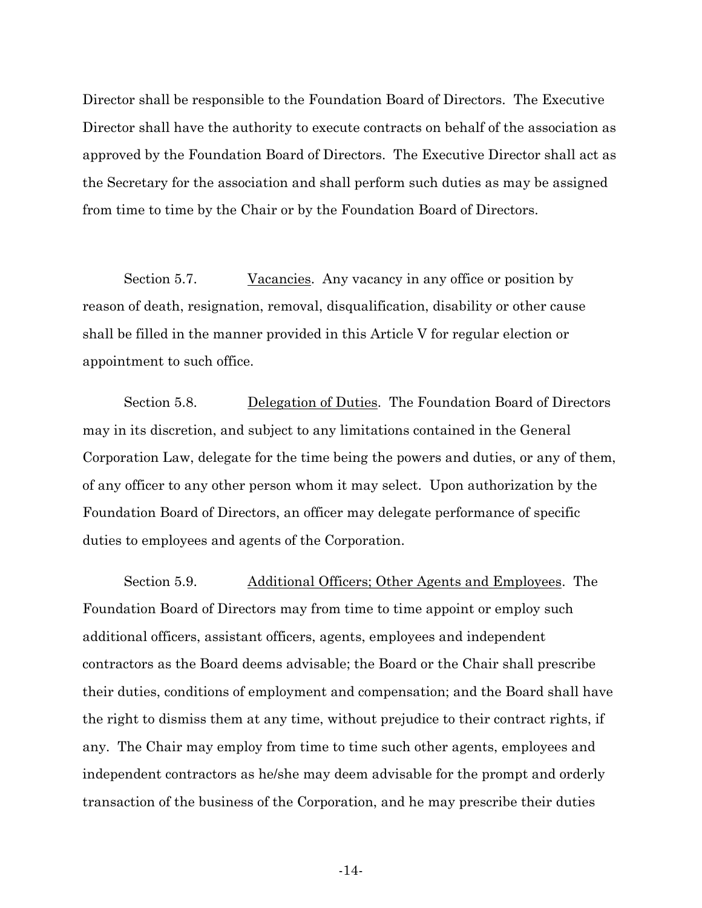Director shall be responsible to the Foundation Board of Directors. The Executive Director shall have the authority to execute contracts on behalf of the association as approved by the Foundation Board of Directors. The Executive Director shall act as the Secretary for the association and shall perform such duties as may be assigned from time to time by the Chair or by the Foundation Board of Directors.

Section 5.7. Vacancies. Any vacancy in any office or position by reason of death, resignation, removal, disqualification, disability or other cause shall be filled in the manner provided in this Article V for regular election or appointment to such office.

Section 5.8. Delegation of Duties. The Foundation Board of Directors may in its discretion, and subject to any limitations contained in the General Corporation Law, delegate for the time being the powers and duties, or any of them, of any officer to any other person whom it may select. Upon authorization by the Foundation Board of Directors, an officer may delegate performance of specific duties to employees and agents of the Corporation.

Section 5.9. Additional Officers; Other Agents and Employees. The Foundation Board of Directors may from time to time appoint or employ such additional officers, assistant officers, agents, employees and independent contractors as the Board deems advisable; the Board or the Chair shall prescribe their duties, conditions of employment and compensation; and the Board shall have the right to dismiss them at any time, without prejudice to their contract rights, if any. The Chair may employ from time to time such other agents, employees and independent contractors as he/she may deem advisable for the prompt and orderly transaction of the business of the Corporation, and he may prescribe their duties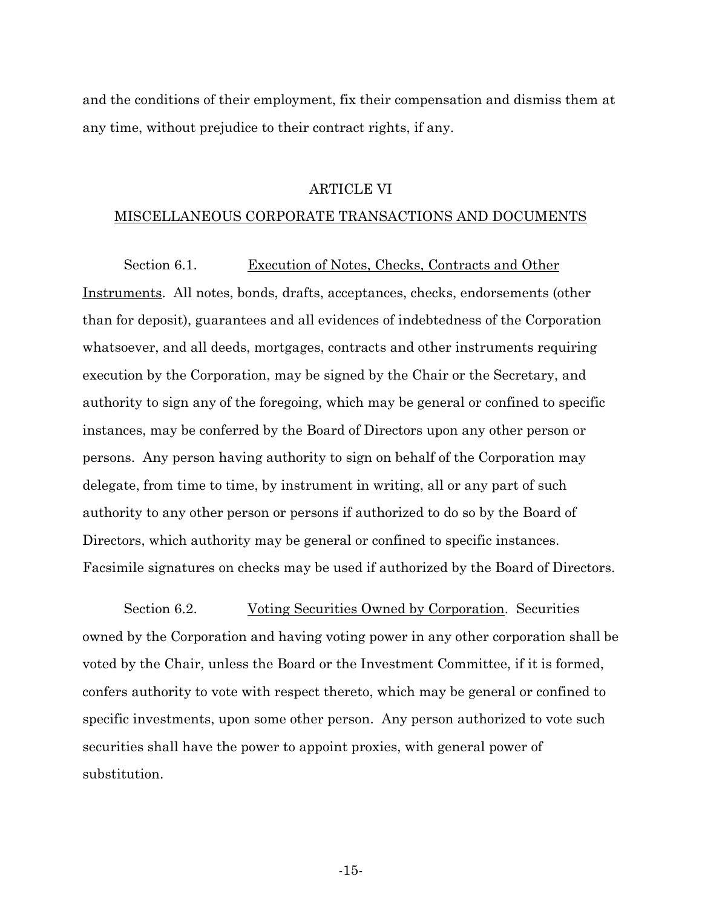and the conditions of their employment, fix their compensation and dismiss them at any time, without prejudice to their contract rights, if any.

### ARTICLE VI

## MISCELLANEOUS CORPORATE TRANSACTIONS AND DOCUMENTS

Section 6.1. Execution of Notes, Checks, Contracts and Other Instruments. All notes, bonds, drafts, acceptances, checks, endorsements (other than for deposit), guarantees and all evidences of indebtedness of the Corporation whatsoever, and all deeds, mortgages, contracts and other instruments requiring execution by the Corporation, may be signed by the Chair or the Secretary, and authority to sign any of the foregoing, which may be general or confined to specific instances, may be conferred by the Board of Directors upon any other person or persons. Any person having authority to sign on behalf of the Corporation may delegate, from time to time, by instrument in writing, all or any part of such authority to any other person or persons if authorized to do so by the Board of Directors, which authority may be general or confined to specific instances. Facsimile signatures on checks may be used if authorized by the Board of Directors.

Section 6.2. Voting Securities Owned by Corporation. Securities owned by the Corporation and having voting power in any other corporation shall be voted by the Chair, unless the Board or the Investment Committee, if it is formed, confers authority to vote with respect thereto, which may be general or confined to specific investments, upon some other person. Any person authorized to vote such securities shall have the power to appoint proxies, with general power of substitution.

-15-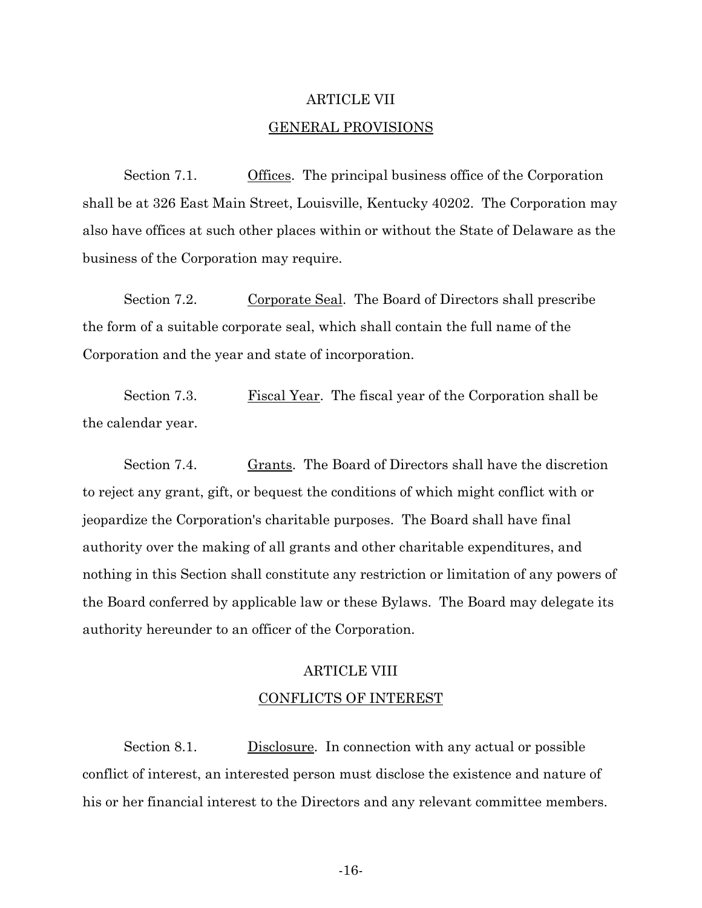## ARTICLE VII GENERAL PROVISIONS

Section 7.1. <u>Offices</u>. The principal business office of the Corporation shall be at 326 East Main Street, Louisville, Kentucky 40202. The Corporation may also have offices at such other places within or without the State of Delaware as the business of the Corporation may require.

Section 7.2. Corporate Seal. The Board of Directors shall prescribe the form of a suitable corporate seal, which shall contain the full name of the Corporation and the year and state of incorporation.

Section 7.3. Fiscal Year. The fiscal year of the Corporation shall be the calendar year.

Section 7.4. Grants. The Board of Directors shall have the discretion to reject any grant, gift, or bequest the conditions of which might conflict with or jeopardize the Corporation's charitable purposes. The Board shall have final authority over the making of all grants and other charitable expenditures, and nothing in this Section shall constitute any restriction or limitation of any powers of the Board conferred by applicable law or these Bylaws. The Board may delegate its authority hereunder to an officer of the Corporation.

## ARTICLE VIII CONFLICTS OF INTEREST

Section 8.1. <u>Disclosure</u>. In connection with any actual or possible conflict of interest, an interested person must disclose the existence and nature of his or her financial interest to the Directors and any relevant committee members.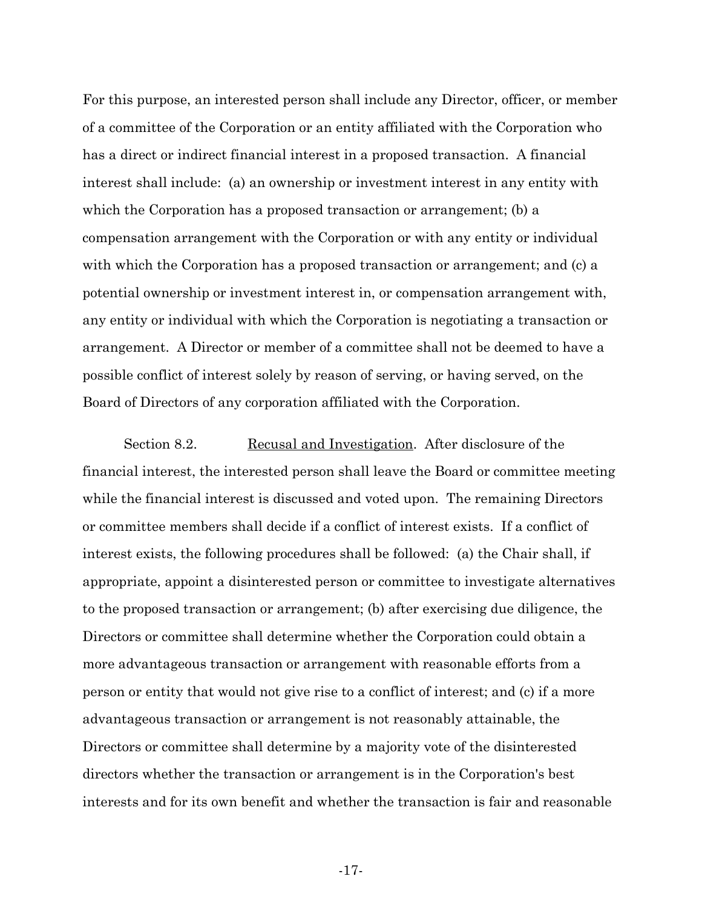For this purpose, an interested person shall include any Director, officer, or member of a committee of the Corporation or an entity affiliated with the Corporation who has a direct or indirect financial interest in a proposed transaction. A financial interest shall include: (a) an ownership or investment interest in any entity with which the Corporation has a proposed transaction or arrangement; (b) a compensation arrangement with the Corporation or with any entity or individual with which the Corporation has a proposed transaction or arrangement; and (c) a potential ownership or investment interest in, or compensation arrangement with, any entity or individual with which the Corporation is negotiating a transaction or arrangement. A Director or member of a committee shall not be deemed to have a possible conflict of interest solely by reason of serving, or having served, on the Board of Directors of any corporation affiliated with the Corporation.

Section 8.2. Recusal and Investigation. After disclosure of the financial interest, the interested person shall leave the Board or committee meeting while the financial interest is discussed and voted upon. The remaining Directors or committee members shall decide if a conflict of interest exists. If a conflict of interest exists, the following procedures shall be followed: (a) the Chair shall, if appropriate, appoint a disinterested person or committee to investigate alternatives to the proposed transaction or arrangement; (b) after exercising due diligence, the Directors or committee shall determine whether the Corporation could obtain a more advantageous transaction or arrangement with reasonable efforts from a person or entity that would not give rise to a conflict of interest; and (c) if a more advantageous transaction or arrangement is not reasonably attainable, the Directors or committee shall determine by a majority vote of the disinterested directors whether the transaction or arrangement is in the Corporation's best interests and for its own benefit and whether the transaction is fair and reasonable

-17-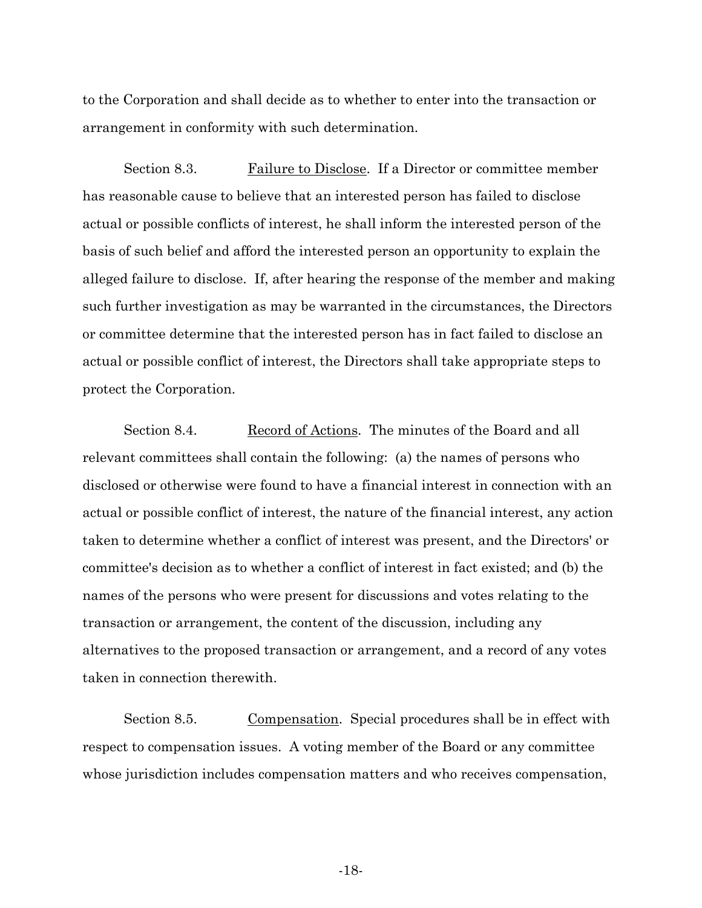to the Corporation and shall decide as to whether to enter into the transaction or arrangement in conformity with such determination.

Section 8.3. Failure to Disclose. If a Director or committee member has reasonable cause to believe that an interested person has failed to disclose actual or possible conflicts of interest, he shall inform the interested person of the basis of such belief and afford the interested person an opportunity to explain the alleged failure to disclose. If, after hearing the response of the member and making such further investigation as may be warranted in the circumstances, the Directors or committee determine that the interested person has in fact failed to disclose an actual or possible conflict of interest, the Directors shall take appropriate steps to protect the Corporation.

Section 8.4. Record of Actions. The minutes of the Board and all relevant committees shall contain the following: (a) the names of persons who disclosed or otherwise were found to have a financial interest in connection with an actual or possible conflict of interest, the nature of the financial interest, any action taken to determine whether a conflict of interest was present, and the Directors' or committee's decision as to whether a conflict of interest in fact existed; and (b) the names of the persons who were present for discussions and votes relating to the transaction or arrangement, the content of the discussion, including any alternatives to the proposed transaction or arrangement, and a record of any votes taken in connection therewith.

Section 8.5. Compensation. Special procedures shall be in effect with respect to compensation issues. A voting member of the Board or any committee whose jurisdiction includes compensation matters and who receives compensation,

-18-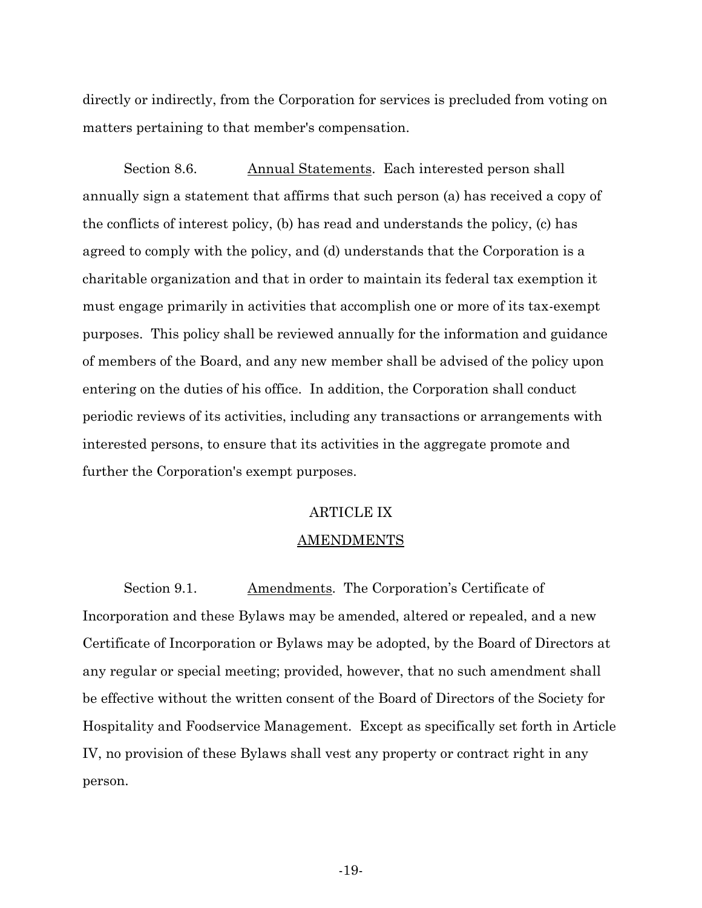directly or indirectly, from the Corporation for services is precluded from voting on matters pertaining to that member's compensation.

Section 8.6. Annual Statements. Each interested person shall annually sign a statement that affirms that such person (a) has received a copy of the conflicts of interest policy, (b) has read and understands the policy, (c) has agreed to comply with the policy, and (d) understands that the Corporation is a charitable organization and that in order to maintain its federal tax exemption it must engage primarily in activities that accomplish one or more of its tax-exempt purposes. This policy shall be reviewed annually for the information and guidance of members of the Board, and any new member shall be advised of the policy upon entering on the duties of his office. In addition, the Corporation shall conduct periodic reviews of its activities, including any transactions or arrangements with interested persons, to ensure that its activities in the aggregate promote and further the Corporation's exempt purposes.

### ARTICLE IX

#### AMENDMENTS

Section 9.1. Amendments. The Corporation's Certificate of Incorporation and these Bylaws may be amended, altered or repealed, and a new Certificate of Incorporation or Bylaws may be adopted, by the Board of Directors at any regular or special meeting; provided, however, that no such amendment shall be effective without the written consent of the Board of Directors of the Society for Hospitality and Foodservice Management. Except as specifically set forth in Article IV, no provision of these Bylaws shall vest any property or contract right in any person.